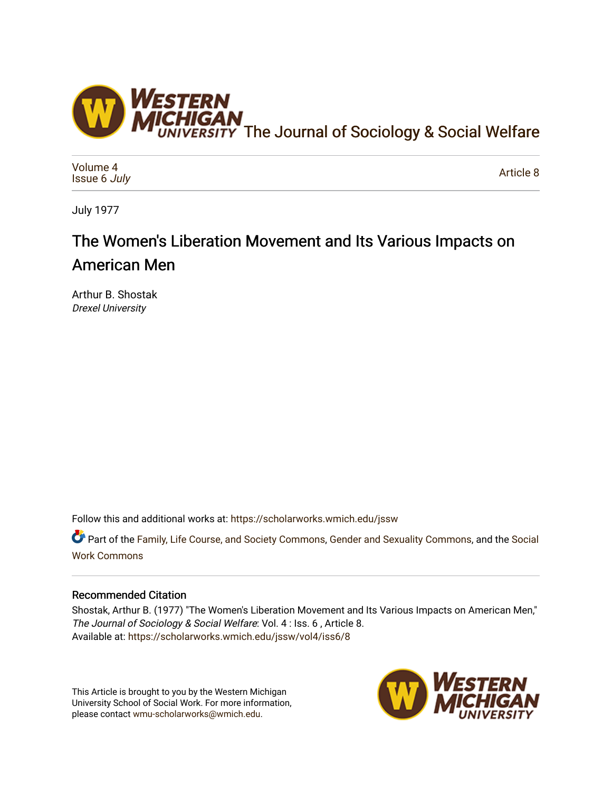

[Volume 4](https://scholarworks.wmich.edu/jssw/vol4) [Issue 6](https://scholarworks.wmich.edu/jssw/vol4/iss6) July

[Article 8](https://scholarworks.wmich.edu/jssw/vol4/iss6/8) 

July 1977

## The Women's Liberation Movement and Its Various Impacts on American Men

Arthur B. Shostak Drexel University

Follow this and additional works at: [https://scholarworks.wmich.edu/jssw](https://scholarworks.wmich.edu/jssw?utm_source=scholarworks.wmich.edu%2Fjssw%2Fvol4%2Fiss6%2F8&utm_medium=PDF&utm_campaign=PDFCoverPages) 

Part of the [Family, Life Course, and Society Commons,](http://network.bepress.com/hgg/discipline/419?utm_source=scholarworks.wmich.edu%2Fjssw%2Fvol4%2Fiss6%2F8&utm_medium=PDF&utm_campaign=PDFCoverPages) [Gender and Sexuality Commons](http://network.bepress.com/hgg/discipline/420?utm_source=scholarworks.wmich.edu%2Fjssw%2Fvol4%2Fiss6%2F8&utm_medium=PDF&utm_campaign=PDFCoverPages), and the [Social](http://network.bepress.com/hgg/discipline/713?utm_source=scholarworks.wmich.edu%2Fjssw%2Fvol4%2Fiss6%2F8&utm_medium=PDF&utm_campaign=PDFCoverPages) [Work Commons](http://network.bepress.com/hgg/discipline/713?utm_source=scholarworks.wmich.edu%2Fjssw%2Fvol4%2Fiss6%2F8&utm_medium=PDF&utm_campaign=PDFCoverPages)

## Recommended Citation

Shostak, Arthur B. (1977) "The Women's Liberation Movement and Its Various Impacts on American Men," The Journal of Sociology & Social Welfare: Vol. 4 : Iss. 6 , Article 8. Available at: [https://scholarworks.wmich.edu/jssw/vol4/iss6/8](https://scholarworks.wmich.edu/jssw/vol4/iss6/8?utm_source=scholarworks.wmich.edu%2Fjssw%2Fvol4%2Fiss6%2F8&utm_medium=PDF&utm_campaign=PDFCoverPages) 

This Article is brought to you by the Western Michigan University School of Social Work. For more information, please contact [wmu-scholarworks@wmich.edu.](mailto:wmu-scholarworks@wmich.edu)

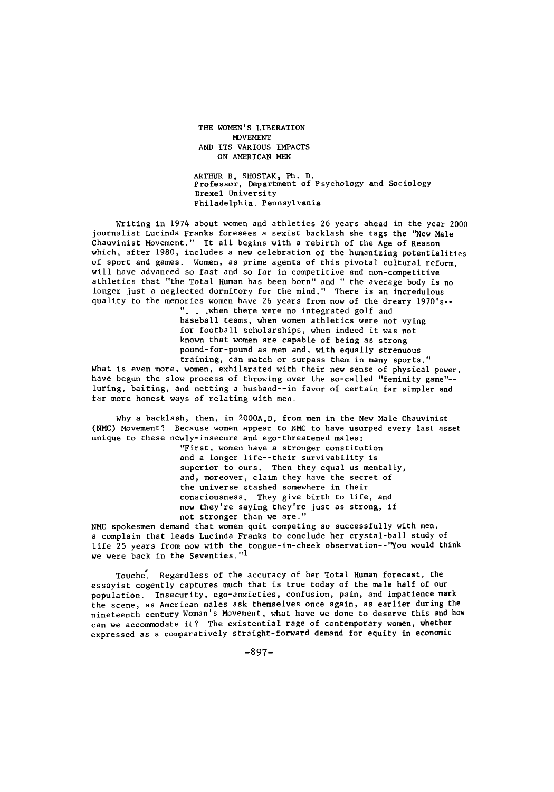THE WOMEN'S LIBERATION MOVEMENT AND ITS VARIOUS IMPACTS ON AMERICAN MEN ARTHUR B. SHOSTAK, Ph. D. Professor, Department of Psychology and Sociology Drexel University Philadelphia, Pennsylvania

Writing in 1974 about women and athletics 26 years ahead in the year 2000 journalist Lucinda Franks foresees a sexist backlash she tags the "New Male Chauvinist Movement." It all begins with a rebirth of the Age of Reason which, after 1980, includes a new celebration of the humanizing potentialities of sport and games. Women, as prime agents of this pivotal cultural reform, will have advanced so fast and so far in competitive and non-competitive athletics that "the Total Human has been born" and " the average body is no longer just a neglected dormitory for the mind." There is an incredulous quality to the memories women have 26 years from now of the dreary 1970's--

**. \*.** .when there were no integrated golf and baseball teams, when women athletics were not vying for football scholarships, when indeed it was not known that women are capable of being as strong pound-for-pound as men and, with equally strenuous training, can match or surpass them in many sports."

What is even more, women, exhilarated with their new sense of physical power, have begun the slow process of throwing over the so-called "feminity game"- luring, baiting, and netting a husband--in favor of certain far simpler and far more honest ways of relating with men.

Why a backlash, then, in 2000A.D. from men in the New Male Chauvinist (NMC) Movement? Because women appear to NMC to have usurped every last asset unique to these newly-insecure and ego-threatened males:

> "First, women have a stronger constitution and a longer life--their survivability is superior to ours. Then they equal us mentally, and, moreover, claim they have the secret of the universe stashed somewhere in their consciousness. They give birth to life, and now they're saying they're just as strong, if not stronger than we are."

NMC spokesmen demand that women quit competing so successfully with men, a complain that leads Lucinda Franks to conclude her crystal-ball study of life 25 years from now with the tongue-in-cheek observation--"You would think we were back in the Seventies."<sup>1</sup>

Touche. Regardless of the accuracy of her Total Human forecast, the essayist cogently captures much that is true today of the male half of our population. Insecurity, ego-anxieties, confusion, pain, and impatience mark the scene, as American males ask themselves once again, as earlier during the nineteenth century Woman's Movement, what have we done to deserve this and how can we accommodate it? The existential rage of contemporary women, whether expressed as a comparatively straight-forward demand for equity in economic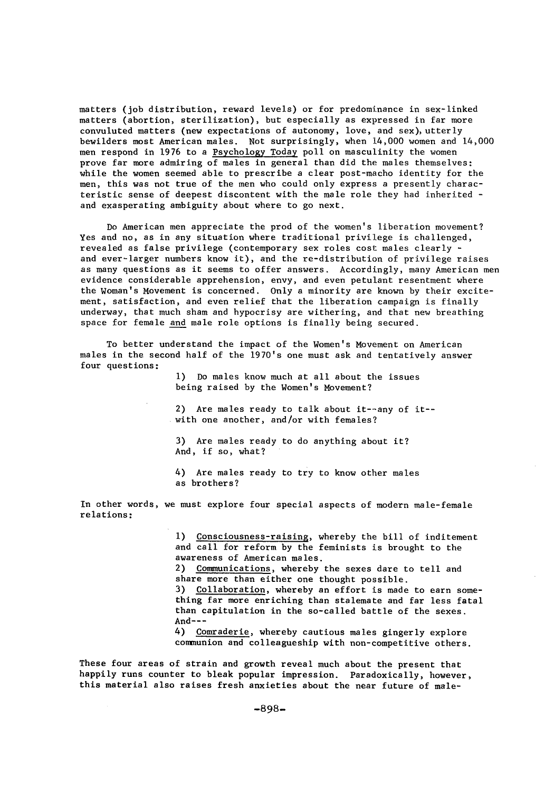matters (job distribution, reward levels) or for predominance in sex-linked matters (abortion, sterilization), but especially as expressed in far more convuluted matters (new expectations of autonomy, love, and sex), utterly bewilders most American males. Not surprisingly, when 14,000 women and 14,000 men respond in 1976 to a Psychology Today poll on masculinity the women prove far more admiring of males in general than did the males themselves: while the women seemed able to prescribe a clear post-macho identity for the men, this was not true of the men who could only express a presently characteristic sense of deepest discontent with the male role they had inherited and exasperating ambiguity about where to go next.

Do American men appreciate the prod of the women's liberation movement? Yes and no, as in any situation where traditional privilege is challenged, revealed as false privilege (contemporary sex roles cost males clearly and ever-larger numbers know it), and the re-distribution of privilege raises as many questions as it seems to offer answers. Accordingly, many American men evidence considerable apprehension, envy, and even petulant resentment where the Woman's Movement is concerned. Only a minority are known by their excitement, satisfaction, and even relief that the liberation campaign is finally underway, that much sham and hypocrisy are withering, and that new breathing space for female and male role options is finally being secured.

To better understand the impact of the Women's Movement on American males in the second half of the 1970's one must ask and tentatively answer four questions:

> **1)** Do males know much at all about the issues being raised by the Women's Movement?

2) Are males ready to talk about it--any of it- with one another, and/or with females?

3) Are males ready to do anything about it? And, if so, what?

4) Are males ready to try to know other males as brothers?

In other words, we must explore four special aspects of modern male-female relations:

> **1)** Consciousness-raising, whereby the bill of inditement and call for reform by the feminists is brought to the awareness of American males.

2) Communications, whereby the sexes dare to tell and share more than either one thought possible.

3) Collaboration, whereby an effort is made to earn something far more enriching than stalemate and far less fatal than capitulation in the so-called battle of the sexes. **And---**

4) Comraderie, whereby cautious males gingerly explore communion and colleagueship with non-competitive others.

These four areas of strain and growth reveal much about the present that happily runs counter to bleak popular impression. Paradoxically, however, this material also raises fresh anxieties about the near future of male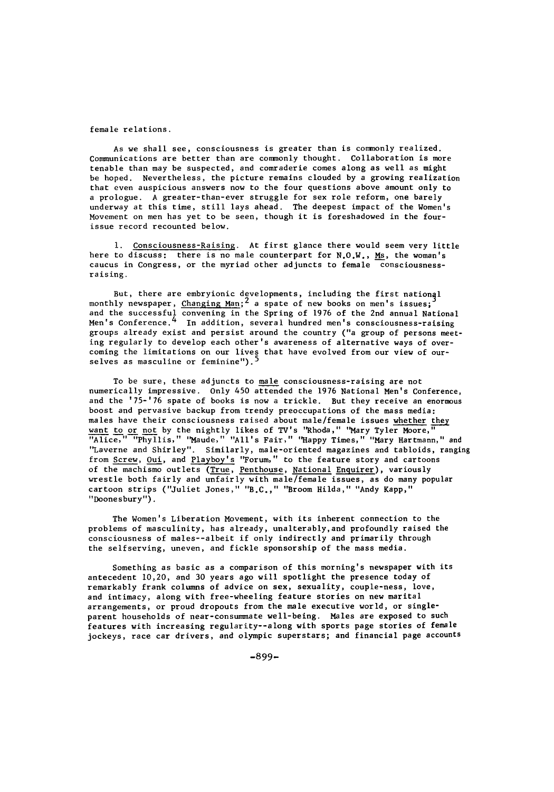female relations.

As we shall see, consciousness is greater than is commonly realized. Communications are better than are commonly thought. Collaboration is more tenable than may be suspected, and comraderie comes along as well as might be hoped. Nevertheless, the picture remains clouded by a growing realization that even auspicious answers now to the four questions above amount only to a prologue. A greater-than-ever struggle for sex role reform, one barely underway at this time, still lays ahead. The deepest impact of the Women's Movement on men has yet to be seen, though it is foreshadowed in the fourissue record recounted below.

**I.** Consciousness-Raising. At first glance there would seem very little here to discuss: there is no male counterpart for N.O.W., Ms, the woman's caucus in Congress, or the myriad other adjuncts to female consciousnessraising.

But, there are embryionic developments, including the first national monthly newspaper, Changing Man;<sup>2</sup> a spate of new books on men's issues: and the successful convening in the Spring of 1976 of the 2nd annual National<br>Men's Conference.<sup>4</sup> In addition, several hundred men's consciousness-raising groups already exist and persist around the country ("a group of persons meeting regularly to develop each other's awareness of alternative ways of overcoming the limitations on our lives that have evolved from our view of ourselves as masculine or feminine").

To be sure, these adjuncts to male consciousness-raising are not numerically impressive. Only 450 attended the 1976 National Men's Conference, and the '75-'76 spate of books is now a trickle. But they receive an enormous boost and pervasive backup from trendy preoccupations of the mass media: males have their consciousness raised about male/female issues whether they want to or not by the nightly likes of TV's "Rhoda," "Mary Tyler Moore," "Alice," "Phyllis," "Maude," "All's Fair," "Happy Times," "Mary Hartmann," and "Laverne and Shirley". Similarly, male-oriented magazines and tabloids, ranging from Screw, Oui, and Playboy's "Forum," to the feature story and cartoons of the machismo outlets (True, Penthouse, National Enquirer), variously wrestle both fairly and unfairly with male/female issues, as do many popular cartoon strips ("Juliet Jones," "B.C.," "Broom Hilda," "Andy Kapp," "Doonesbury").

The Women's Liberation Movement, with its inherent connection to the problems of masculinity, has already, unalterably,and profoundly raised the consciousness of males--albeit if only indirectly and primarily through the selfserving, uneven, and fickle sponsorship of the mass media.

Something as basic as a comparison of this morning's newspaper with its antecedent 10,20, and 30 years ago will spotlight the presence today of remarkably frank columns of advice on sex, sexuality, couple-ness, love, and intimacy, along with free-wheeling feature stories on new marital arrangements, or proud dropouts from the male executive world, or singleparent households of near-consummate well-being. Males are exposed to such features with increasing regularity--along with sports page stories of female jockeys, race car drivers, and olympic superstars; and financial page accounts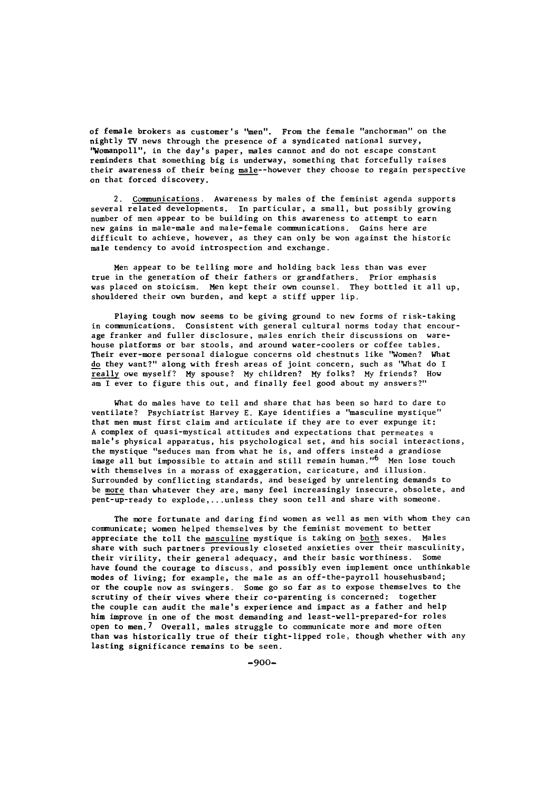of female brokers as customer's "men". From the female "anchorman" on the nightly TV news through the presence of a syndicated national survey, "Womanpoll", in the day's paper, males cannot and do not escape constant reminders that something big is underway, something that forcefully raises their awareness of their being male--however they choose to regain perspective on that forced discovery.

2. Communications. Awareness by males of the feminist agenda supports several related developments. In particular, a small, but possibly growing number of men appear to be building on this awareness to attempt to earn new gains in male-male and male-female communications. Gains here are difficult to achieve, however, as they can only be won against the historic male tendency to avoid introspection and exchange.

Men appear to be telling more and holding back less than was ever true in the generation of their fathers or grandfathers. Prior emphasis was placed on stoicism. Men kept their own counsel. They bottled it all up, shouldered their own burden, and kept a stiff upper lip.

Playing tough now seems to be giving ground to new forms of risk-taking in communications. Consistent with general cultural norms today that encourage franker and fuller disclosure, males enrich their discussions on warehouse platforms or bar stools, and around water-coolers or coffee tables. Their ever-more personal dialogue concerns old chestnuts like "Women? What do they want?" along with fresh areas of joint concern, such as "What do I really owe myself? My spouse? My children? My folks? My friends? How am I ever to figure this out, and finally feel good about my answers?"

What do males have to tell and share that has been so hard to dare to ventilate? Psychiatrist Harvey E. Kaye identifies a "masculine mystique" that men must first claim and articulate if they are to ever expunge it: **A** complex of quasi-mystical attitudes and expectations that permeates a male's physical apparatus, his psychological set, and his social interactions, the mystique "seduces man from what he is, and offers instead a grandiose image all but impossible to attain and still remain human."<sup>6</sup> Men lose touch with themselves in a morass of exaggeration, caricature, and illusion. Surrounded by conflicting standards, and beseiged by unrelenting demands to be more than whatever they are, many feel increasingly insecure, obsolete, and pent-up-ready to explode **....** unless they soon tell and share with someone.

The more fortunate and daring find women as well as men with whom they can communicate; women helped themselves by the feminist movement to better appreciate the toll the masculine mystique is taking on both sexes. Males share with such partners previously closeted anxieties over their masculinity, their virility, their general adequacy, and their basic worthiness. Some have found the courage to discuss, and possibly even implement once unthinkable modes of living; for example, the male as an off-the-payroll househusband; or the couple now as swingers. Some go so far as to expose themselves to the scrutiny of their wives where their co-parenting is concerned: together the couple can audit the male's experience and impact as a father and help him improve in one of the most demanding and least-well-prepared-for roles open to men. 7 Overall, males struggle to communicate more and more often than was historically true of their tight-lipped role, though whether with any lasting significance remains to be seen.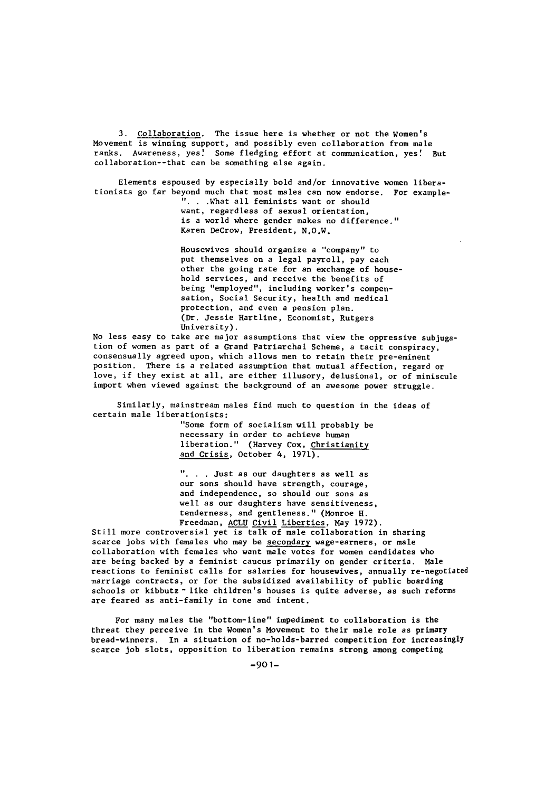3. Collaboration. The issue here is whether or not the Women's Movement is winning support, and possibly even collaboration from male ranks. Awareness, yes' Some fledging effort at communication, yes' But collaboration--that can be something else again.

Elements espoused by especially bold and/or innovative women liberationists go far beyond much that most males can now endorse. For example- ". . . What all feminists want or should want, regardless of sexual orientation, is a world where gender makes no difference." Karen DeCrow, President, N.O.W.

> Housewives should organize a "company" to put themselves on a legal payroll, pay each other the going rate for an exchange of household services, and receive the benefits of being "employed", including worker's compensation, Social Security, health and medical protection, and even a pension plan. (Dr. Jessie Hartline, Economist, Rutgers University).

No less easy to take are major assumptions that view the oppressive subjugation of women as part of a Grand Patriarchal Scheme, a tacit conspiracy, consensually agreed upon, which allows men to retain their pre-eminent position. There is a related assumption that mutual affection, regard or love, if they exist at all, are either illusory, delusional, or of miniscule import when viewed against the background of an awesome power struggle.

Similarly, mainstream males find much to question in the ideas of certain male liberationists:

> "Some form of socialism will probably be necessary in order to achieve human liberation." (Harvey Cox, Christianity and Crisis, October 4, 1971).

**. . .** Just as our daughters as well as our sons should have strength, courage, and independence, so should our sons as well as our daughters have sensitiveness, tenderness, and gentleness." (Monroe H. Freedman, ACLU Civil Liberties, May 1972).

Still more controversial yet is talk of male collaboration in sharing scarce jobs with females who may be secondary wage-earners, or male collaboration with females who want male votes for women candidates who are being backed by a feminist caucus primarily on gender criteria. Male reactions to feminist calls for salaries for housewives, annually re-negotiated marriage contracts, or for the subsidized availability of public boarding schools or kibbutz - like children's houses is quite adverse, as such reforms are feared as anti-family in tone and intent.

For many males the "bottom-line" impediment to collaboration is the threat they perceive in the Women's Movement to their male role as primary bread-winners. In a situation of no-holds-barred competition for increasingly scarce job slots, opposition to liberation remains strong among competing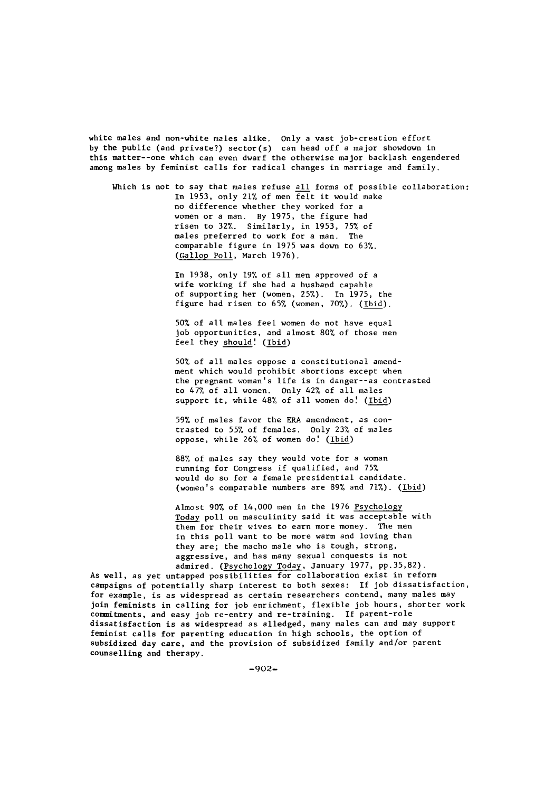white males and non-white males alike. Only a vast job-creation effort by the public (and private?) sector(s) can head off a major showdown in this matter--one which can even dwarf the otherwise major backlash engendered among males **by** feminist calls for radical changes in marriage and family.

Which is not to say that males refuse all forms of possible collaboration: In 1953, only 21% of men felt it would make no difference whether they worked for a women or a man. By 1975, the figure had risen to 32%. Similarly, in 1953, 75% of males preferred to work for a man. The comparable figure in 1975 was down to 63%. (Gallop Poll, March 1976).

> In 1938, only **19%** of all men approved of a wife working if she had a husband capable of supporting her (women, 25%). In 1975, the figure had risen to 65% (women, 70%). (Ibid).

50% of all males feel women do not have equal job opportunities, and almost 80% of those men feel they should! (Ibid)

50% of all males oppose a constitutional amendment which would prohibit abortions except when the pregnant woman's life is in danger--as contrasted to 47% of all women. Only 42% of all males support it, while 48% of all women do! (Ibid)

**59%** of males favor the ERA amendment, as contrasted to **55%** of females. Only 23% of males oppose, while 26% of women do! (Ibid)

88% of males say they would vote for a woman running for Congress if qualified, and 75% would do so for a female presidential candidate. (women's comparable numbers are 89% and 71%). (Ibid)

Almost 90% of 14,000 men in the 1976 Psychology Today poll on masculinity said it was acceptable with them for their wives to earn more money. The men in this poll want to be more warm and loving than they are; the macho male who is tough, strong, aggressive, and has many sexual conquests is not admired. (Psychology Today, January 1977, pp.35,82).

As well, as yet untapped possibilities for collaboration exist in reform campaigns of potentially sharp interest to both sexes: If job dissatisfaction, for example, is as widespread as certain researchers contend, many males may join feminists in calling for job enrichment, flexible job hours, shorter work commitments, and easy job re-entry and re-training. If parent-role dissatisfaction is as widespread as alledged, many males can and may support feminist calls for parenting education in high schools, the option of subsidized day care, and the provision of subsidized family and/or parent counselling and therapy.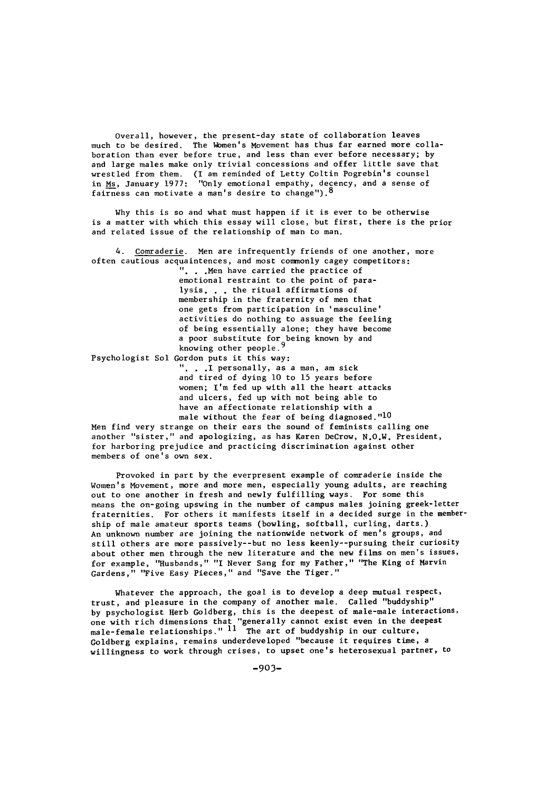Overall, however, the present-day state of collaboration leaves much to be desired. The Women's Movement has thus far earned more collaboration than ever before true, and less than ever before necessary; by and large males make only trivial concessions and offer little save that wrestled from them. (I am reminded of Letty Coltin Pogrebin's counsel in Ms, January 1977: "Only emotional empathy, decency, and a sense of fairness can motivate a man's desire to change").  $8$ 

Why this is so and what must happen if it is ever to be otherwise is a matter with which this essay will close, but first, there is the prior and related issue of the relationship of man to man.

4. Comraderie. Men are infrequently friends of one another, more often cautious acquaintences, and most commonly cagey competitors: **". .** Men have carried the practice of emotional restraint to the point of paralysis. . . the ritual affirmations of membership in the fraternity of men that one gets from participation in 'masculine' activities do nothing to assuage the feeling of being essentially alone; they have become a poor substitute for being known by and knowing other people. Psychologist Sol Gordon puts it this way: **". .** J personally, as a man, am sick and tired of dying **10** to 15 years before women; I'm fed up with all the heart attacks and ulcers, fed up with not being able to have an affectionate relationship with a male without the fear of being diagnosed."10

Men find very strange on their ears the sound of feminists calling one another "sister," and apologizing, as has Karen DeCrow, N.O.W. President, for harboring prejudice and practicing discrimination against other members of one's own sex.

Provoked in part by the everpresent example of comraderie inside the Women's Movement, more and more men, especially young adults, are reaching out to one another in fresh and newly fulfilling ways. For some this means the on-going upswing in the number of campus males joining greek-letter fraternities. For others it manifests itself in a decided surge in the membership of male amateur sports teams (bowling, softball, curling, darts.) An unknown number are joining the nationwide network of men's groups, and still others are more passively--but no less keenly--pursuing their curiosity about other men through the new literature and the new films on men's issues, for example, "Husbands," "I Never Sang for my Father," "The King of Marvin Gardens," "Five Easy Pieces," and "Save the Tiger."

Whatever the approach, the goal is to develop a deep mutual respect, trust, and pleasure in the company of another male. Called "buddyship" by psychologist Herb Goldberg, this is the deepest of male-male interactions, one with rich dimensions that "generally cannot exist even in the deepest male-female relationships." **11** The art of buddyship in our culture, Goldberg explains, remains underdeveloped "because it requires time, a willingness to work through crises, to upset one's heterosexual partner, to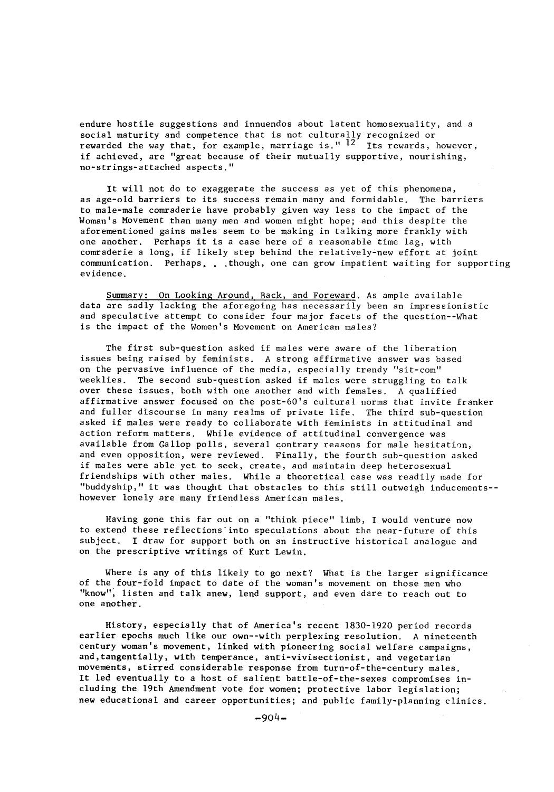endure hostile suggestions and innuendos about latent homosexuality, and a social maturity and competence that is not culturally recognized or rewarded the way that, for example, marriage is."  $12'$  Its rewards, however, if achieved, are "great because of their mutually supportive, nourishing, no-strings-attached aspects."

It will not do to exaggerate the success as yet of this phenomena, as age-old barriers to its success remain many and formidable. The barriers to male-male comraderie have probably given way less to the impact of the Woman's Movement than many men and women might hope; and this despite the aforementioned gains males seem to be making in talking more frankly with one another. Perhaps it is a case here of a reasonable time lag, with comraderie a long, if likely step behind the relatively-new effort at joint communication. Perhaps. **.** though, one can grow impatient waiting for supporting evidence.

Summary: On Looking Around, Back, and Foreward. As ample available data are sadly lacking the aforegoing has necessarily been an impressionistic and speculative attempt to consider four major facets of the question--What is the impact of the Women's Movement on American males?

The first sub-question asked if males were aware of the liberation issues being raised by feminists. A strong affirmative answer was based on the pervasive influence of the media, especially trendy "sit-com" weeklies. The second sub-question asked if males were struggling to talk over these issues, both with one another and with females. A qualified affirmative answer focused on the post-60's cultural norms that invite franker and fuller discourse in many realms of private life. The third sub-question asked if males were ready to collaborate with feminists in attitudinal and action reform matters. While evidence of attitudinal convergence was available from Gallop polls, several contrary reasons for male hesitation, and even opposition, were reviewed. Finally, the fourth sub-question asked if males were able yet to seek, create, and maintain deep heterosexual friendships with other males. While a theoretical case was readily made for "buddyship," it was thought that obstacles to this still outweigh inducements- however lonely are many friendless American males.

Having gone this far out on a "think piece" limb, I would venture now to extend these reflections'into speculations about the near-future of this subject. I draw for support both on an instructive historical analogue and on the prescriptive writings of Kurt Lewin.

Where is any of this likely to go next? What is the larger significance of the four-fold impact to date of the woman's movement on those men who "know", listen and talk anew, lend support, and even dare to reach out to one another.

History, especially that of America's recent 1830-1920 period records earlier epochs much like our own--with perplexing resolution. A nineteenth century woman's movement, linked with pioneering social welfare campaigns, and,tangentially, with temperance, anti-vivisectionist, and vegetarian movements, stirred considerable response from turn-of-the-century males. It led eventually to a host of salient battle-of-the-sexes compromises including the 19th Amendment vote for women; protective labor legislation; new educational and career opportunities; and public family-planning clinics.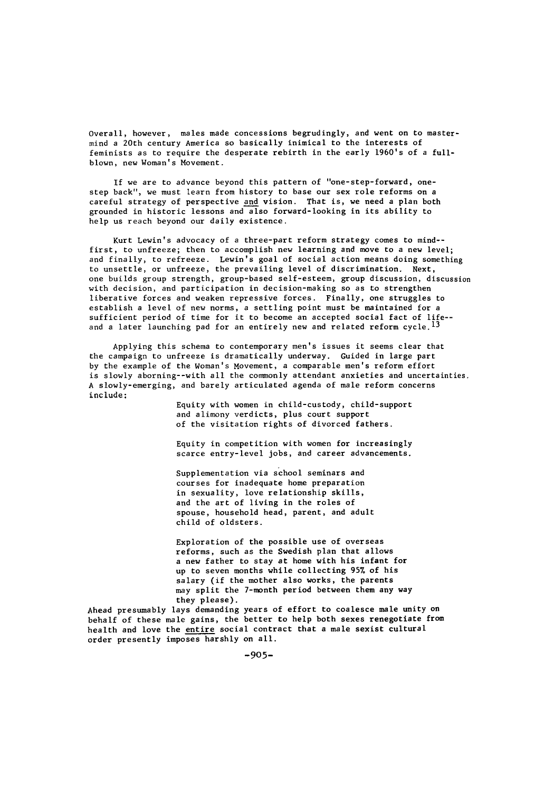Overall, however, males made concessions begrudingly, and went on to mastermind a 20th century America so basically inimical to the interests of feminists as to require the desperate rebirth in the early 1960's of a fullblown, new Woman's Movement.

If we are to advance beyond this pattern of "one-step-forward, onestep back", we must learn from history to base our sex role reforms on a careful strategy of perspective and vision. That is, we need a plan both grounded in historic lessons and also forward-looking in its ability to help us reach beyond our daily existence.

Kurt Lewin's advocacy of a three-part reform strategy comes to mind- first, to unfreeze; then to accomplish new learning and move to a new level; and finally, to refreeze. Lewin's goal of social action means doing something to unsettle, or unfreeze, the prevailing level of discrimination. Next, one builds group strength, group-based self-esteem, group discussion, discussion with decision, and participation in decision-making so as to strengthen liberative forces and weaken repressive forces. Finally, one struggles to establish a level of new norms, a settling point must be maintained for a sufficient period of time for it to become an accepted social fact of life- and a later launching pad for an entirely new and related reform cycle.<sup>13</sup>

Applying this schema to contemporary men's issues it seems clear that the campaign to unfreeze is dramatically underway. Guided in large part by the example of the Woman's Movement, a comparable men's reform effort is slowly aborning--with all the commonly attendant anxieties and uncertainties. A slowly-emerging, and barely articulated agenda of male reform concerns include:

> Equity with women in child-custody, child-support and alimony verdicts, plus court support of the visitation rights of divorced fathers.

> Equity in competition with women for increasingly scarce entry-level jobs, and career advancements.

Supplementation via school seminars and courses for inadequate home preparation in sexuality, love relationship skills, and the art of living in the roles of spouse, household head, parent, and adult child of oldsters.

Exploration of the possible use of overseas reforms, such as the Swedish plan that allows a new father to stay at home with his infant for up to seven months while collecting **95%** of his salary (if the mother also works, the parents may split the 7-month period between them any way they please).

Ahead presumably lays demanding years of effort to coalesce male unity on behalf of these male gains, the better to help both sexes renegotiate from health and love the entire social contract that a male sexist cultural order presently imposes harshly on all.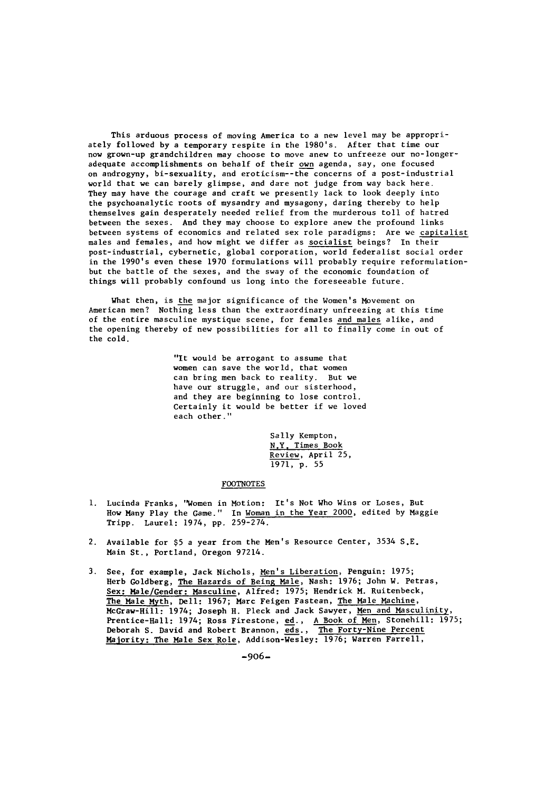This arduous process of moving America to a new level may be appropriately followed by a temporary respite in the 1980's. After that time our now grown-up grandchildren may choose to move anew to unfreeze our no-longeradequate accomplishments on behalf of their own agenda, say, one focused on androgyny, bi-sexuality, and eroticism--the concerns of a post-industrial world that we can barely glimpse, and dare not judge from way back here. They may have the courage and craft we presently lack to look deeply into the psychoanalytic roots of mysandry and mysagony, daring thereby to help themselves gain desperately needed relief from the murderous toll of hatred between the sexes. And they may choose to explore anew the profound links between systems of economics and related sex role paradigms: Are we capitalist males and females, and how might we differ as socialist beings? In their post-industrial, cybernetic, global corporation, world federalist social order in the 1990's even these 1970 formulations will probably require reformulationbut the battle of the sexes, and the sway of the economic foundation of things will probably confound us long into the foreseeable future.

What then, is the major significance of the Women's Movement on American men? Nothing less than the extraordinary unfreezing at this time of the entire masculine mystique scene, for females and males alike, and the opening thereby of new possibilities for all to  $\overline{\text{finally}}$  come in out of the cold.

> "It would be arrogant to assume that women can save the world, that women can bring men back to reality. But we have our struggle, and our sisterhood, and they are beginning to lose control. Certainly it would be better if we loved each other."

> > Sally Kempton, N.Y, Times Book Review, April 25,  $\overline{1971, p. 55}$

## FOOTNOTES

- **1.** Lucinda Franks, "Women in Motion: It's Not Who Wins or Loses, But How Many Play the Game." In Woman in the Year 2000, edited by Maggie Tripp. Laurel: 1974, pp. 259-274.
- 2. Available for \$5 a year from the Men's Resource Center, 3534 S.E. Main St., Portland, Oregon 97214.
- 3. See, for example, Jack Nichols, Men's Liberation, Penguin: 1975; Herb Goldberg, The Hazards of Being Male, Nash: 1976; John W. Petras, Sex: Male/Gender: Masculine, Alfred: 1975; Hendrick M. Ruitenbeck, The Male Myth, Dell: 1967; Marc Feigen Fastean, The Male Machine, McGraw-Hill: 1974; Joseph H. Pleck and Jack Sawyer, Men and Masculinity, Prentice-Hall: 1974; Ross Firestone, ed., A Book of Men, Stonehill: 1975; Deborah S. David and Robert Brannon, eds., The Forty-Nine Percent Majority: The Male Sex Role, Addison-Wesley: 1976; Warren Farrell,